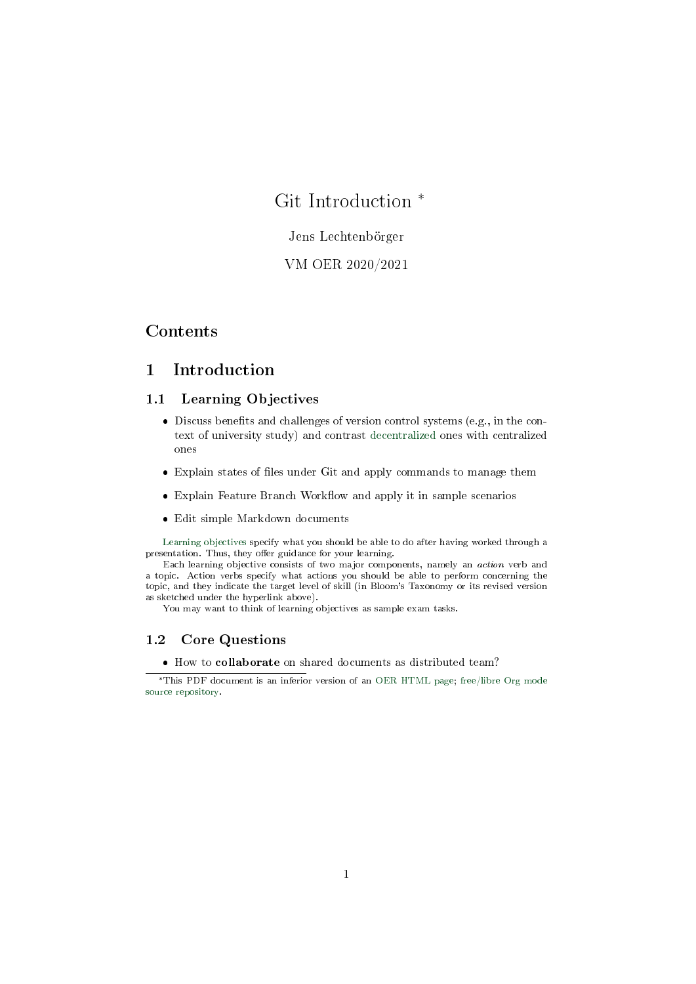# <span id="page-0-0"></span>Git Introduction \*

### Jens Lechtenbörger

## VM OER 2020/2021

## Contents

## 1 Introduction

#### 1.1 Learning Objectives

- Discuss benefits and challenges of version control systems (e.g., in the context of university study) and contrast [decentralized](https://en.wikipedia.org/wiki/Decentralization) ones with centralized ones
- Explain states of files under Git and apply commands to manage them
- $\bullet$  Explain Feature Branch Workflow and apply it in sample scenarios
- Edit simple Markdown documents

[Learning objectives](https://cft.vanderbilt.edu/guides-sub-pages/blooms-taxonomy/) specify what you should be able to do after having worked through a presentation. Thus, they offer guidance for your learning.

Each learning objective consists of two major components, namely an action verb and a topic. Action verbs specify what actions you should be able to perform concerning the topic, and they indicate the target level of skill (in Bloom's Taxonomy or its revised version as sketched under the hyperlink above).

You may want to think of learning objectives as sample exam tasks.

### 1.2 Core Questions

How to collaborate on shared documents as distributed team?

<sup>\*</sup>This PDF document is an inferior version of an [OER HTML page;](https://oer.gitlab.io/oer-courses/vm-oer/03-Git-Introduction.html) [free/libre Org mode](https://gitlab.com/oer/oer-courses/vm-oer) [source repository.](https://gitlab.com/oer/oer-courses/vm-oer)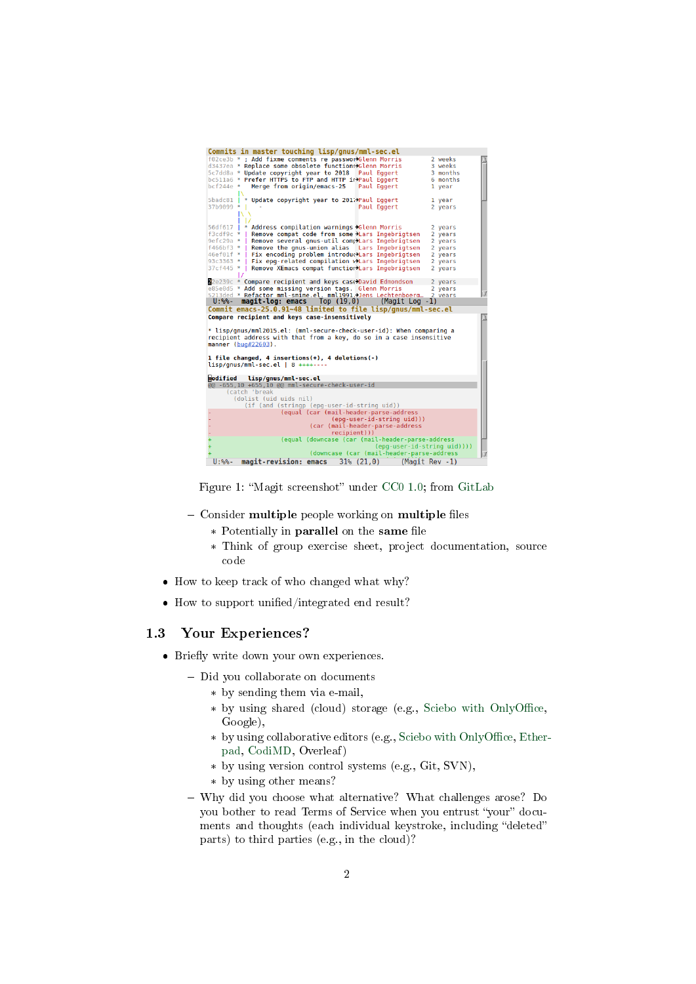| Commits in master touching lisp/gnus/mml-sec.el                                                     |                |  |
|-----------------------------------------------------------------------------------------------------|----------------|--|
| f02ce3b * ; Add fixme comments re passworXGlenn Morris                                              | 2 weeks        |  |
| d3437ea * Replace some obsolete functions>Glenn Morris                                              | 3 weeks        |  |
| 5c7dd8a * Update copyright year to 2018<br>Paul Eggert                                              | 3 months       |  |
| bc511a6 * Prefer HTTPS to FTP and HTTP inPaul Eggert                                                | 6 months       |  |
|                                                                                                     |                |  |
| Merge from origin/emacs-25<br>$bcf244e$ *<br>Paul Eqgert                                            | 1 year         |  |
|                                                                                                     |                |  |
| * Update copyright year to 2017 Paul Eggert<br>5badc81                                              | 1 year         |  |
| 37b9099 *  <br>Paul Eqgert                                                                          | 2 years        |  |
|                                                                                                     |                |  |
|                                                                                                     |                |  |
| 56df617   * Address compilation warnings >Glenn Morris                                              | 2 years        |  |
| Remove compat code from some >Lars Ingebrigtsen<br>$f3cdf9c * I$                                    | 2 years        |  |
| Remove several gnus-util complars Ingebrigtsen<br>$9efc29a * I$                                     | 2 years        |  |
| f466bf3 *   Remove the gnus-union alias Lars Ingebrigtsen                                           | 2 years        |  |
|                                                                                                     |                |  |
| Fix encoding problem introductars Ingebrigtsen<br>46ef01f *                                         | 2 years        |  |
| Fix epg-related compilation vilars Ingebrigtsen<br>$93c3363 * 1$                                    | 2 years        |  |
| $37cf445 * I$<br>Remove XEmacs compat function>Lars Ingebrigtsen                                    | 2 years        |  |
|                                                                                                     |                |  |
| 22e239c * Compare recipient and keys case>David Edmondson                                           | 2 years        |  |
|                                                                                                     | 2 years        |  |
|                                                                                                     |                |  |
| e85e0d5 * Add some missing version tags. Glenn Morris                                               |                |  |
| 5213ded * Refactor mml-smime.el. mml1991.>Jens Lechtenboera<br>U:%%-                                | 2 vears        |  |
| $magit-log: emacs$ Top $(19,0)$ (Magit Log -1)                                                      |                |  |
| Commit emacs-25.0.91~48 limited to file lisp/gnus/mml-sec.el                                        |                |  |
| Compare recipient and keys case-insensitively                                                       |                |  |
|                                                                                                     |                |  |
| * lisp/qnus/mml2015.el: (mml-secure-check-user-id): When comparing a                                |                |  |
| recipient address with that from a key, do so in a case insensitive                                 |                |  |
| manner (bug#22603).                                                                                 |                |  |
|                                                                                                     |                |  |
| 1 file changed, 4 insertions(+), 4 deletions(-)                                                     |                |  |
| $lisp/gnus/mml-sec.el$   8 $+++---$                                                                 |                |  |
|                                                                                                     |                |  |
|                                                                                                     |                |  |
| lisp/gnus/mml-sec.el                                                                                |                |  |
|                                                                                                     |                |  |
| (catch 'break                                                                                       |                |  |
| (dolist (uid uids nil)                                                                              |                |  |
| (if (and (stringp (epg-user-id-string uid))                                                         |                |  |
| (equal (car (mail-header-parse-address                                                              |                |  |
| (epg-user-id-string uid)))                                                                          |                |  |
| (car (mail-header-parse-address                                                                     |                |  |
| recipient)))                                                                                        |                |  |
| (equal (downcase (car (mail-header-parse-address                                                    |                |  |
| (epq-user-id-string uid))))                                                                         |                |  |
| modified<br>@@ -655,10 +655,10 @@ mml-secure-check-user-id                                          |                |  |
| (downcase (car (mail-header-parse-address<br>$31\%$ $(21, 0)$<br>$U:$ %% -<br>magit-revision: emacs | (Magit Rev -1) |  |

Figure 1: "Magit screenshot" under [CC0 1.0;](https://creativecommons.org/publicdomain/zero/1.0/) from [GitLab](https://gitlab.com/oer/figures/blob/master/screenshots/magit.png)

- Consider multiple people working on multiple files
	- \* Potentially in parallel on the same file
	- \* Think of group exercise sheet, project documentation, source code
- How to keep track of who changed what why?
- $\bullet$  How to support unified/integrated end result?

#### 1.3 Your Experiences?

- Briefly write down your own experiences.
	- Did you collaborate on documents
		- \* by sending them via e-mail,
		- \* by using shared (cloud) storage (e.g., Sciebo with OnlyOffice, Google),
		- \* by using collaborative editors (e.g., Sciebo with OnlyOffice, [Ether](https://pad.riseup.net/)[pad,](https://pad.riseup.net/) [CodiMD,](https://pad.gwdg.de/) Overleaf)
		- \* by using version control systems (e.g., Git, SVN),
		- \* by using other means?
	- Why did you choose what alternative? What challenges arose? Do you bother to read Terms of Service when you entrust "your" documents and thoughts (each individual keystroke, including "deleted" parts) to third parties (e.g., in the cloud)?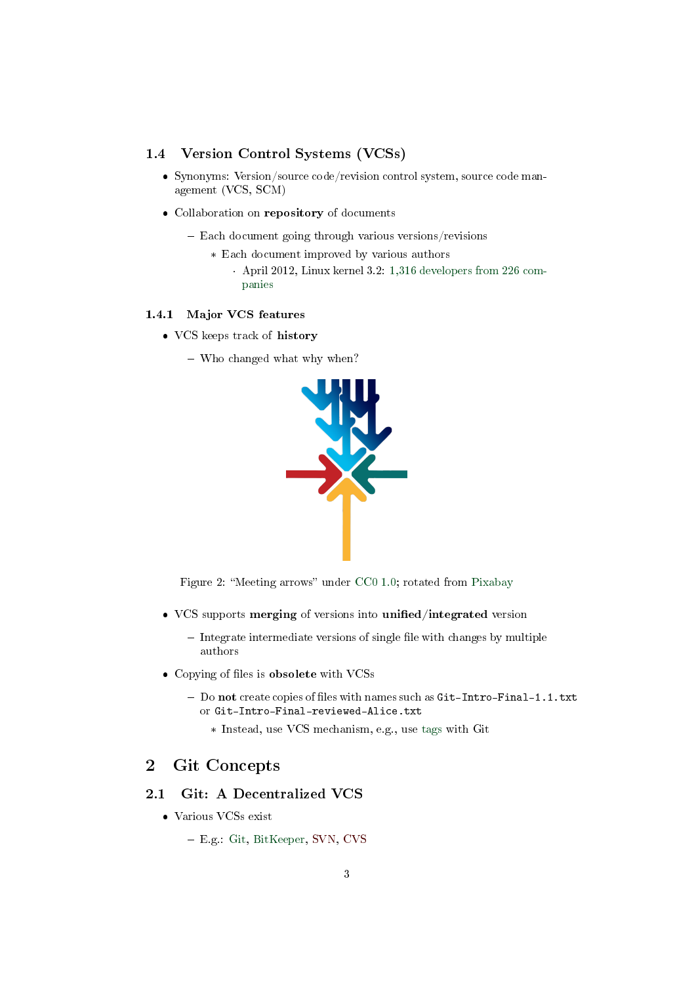## 1.4 Version Control Systems (VCSs)

- Synonyms: Version/source code/revision control system, source code management (VCS, SCM)
- Collaboration on repository of documents
	- Each document going through various versions/revisions
		- \* Each document improved by various authors
			- · April 2012, Linux kernel 3.2: [1,316 developers from 226 com](https://www.linux.com/learn/counting-contributions-who-wrote-linux-32)[panies](https://www.linux.com/learn/counting-contributions-who-wrote-linux-32)

#### 1.4.1 Major VCS features

- VCS keeps track of history
	- Who changed what why when?



Figure 2: "Meeting arrows" under [CC0 1.0;](https://creativecommons.org/publicdomain/zero/1.0/) rotated from [Pixabay](https://pixabay.com/en/arrows-center-inside-middle-2033963/)

- VCS supports merging of versions into unified/integrated version
	- $-$  Integrate intermediate versions of single file with changes by multiple authors
- Copying of files is obsolete with VCSs
	- Do not create copies of files with names such as Git-Intro-Final-1.1.txt or Git-Intro-Final-reviewed-Alice.txt
		- \* Instead, use VCS mechanism, e.g., use [tags](https://git-scm.com/book/en/v2/Git-Basics-Tagging) with Git

## 2 Git Concepts

### 2.1 Git: A Decentralized VCS

- Various VCSs exist
	- E.g.: Git, BitKeeper, SVN, CVS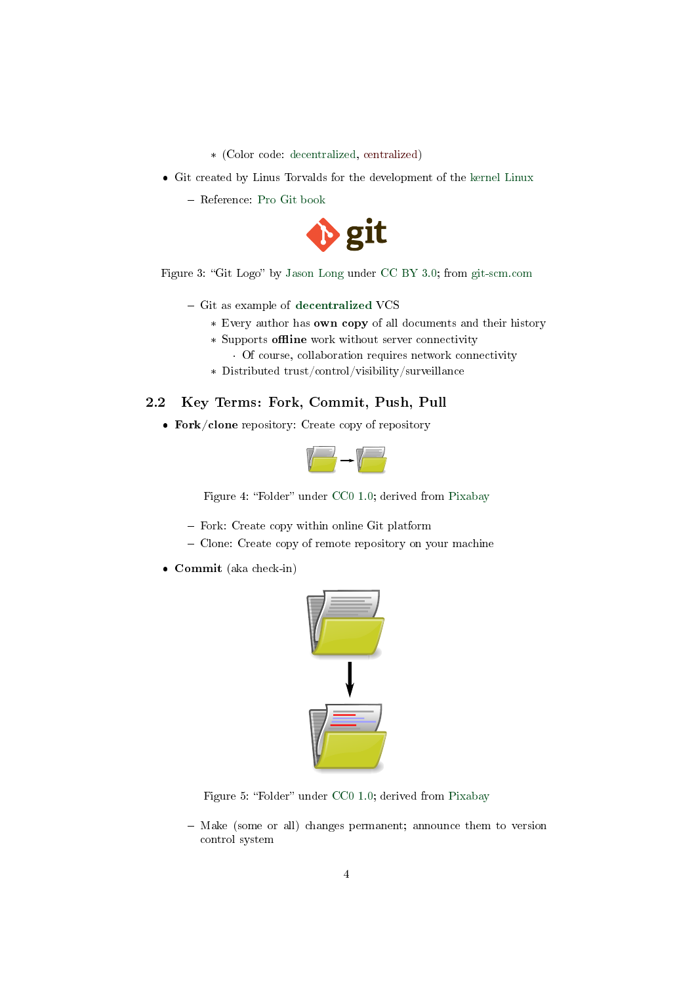- \* (Color code: decentralized, centralized)
- Git created by Linus Torvalds for the development of the [kernel Linux](https://www.kernel.org/)
	- Reference: [Pro Git book](https://git-scm.com/book/en/v2)



Figure 3: "Git Logo" by [Jason Long](https://twitter.com/jasonlong) under [CC BY 3.0;](https://creativecommons.org/licenses/by/3.0/) from [git-scm.com](https://git-scm.com/images/logos/downloads/Git-Logo-2Color.png)

- $-$  Git as example of [decentralized](https://en.wikipedia.org/wiki/Decentralization) VCS
	- \* Every author has own copy of all documents and their history
	- \* Supports offline work without server connectivity
		- · Of course, collaboration requires network connectivity
	- \* Distributed trust/control/visibility/surveillance

## 2.2 Key Terms: Fork, Commit, Push, Pull

Fork/clone repository: Create copy of repository



Figure 4: "Folder" under [CC0 1.0;](https://creativecommons.org/publicdomain/zero/1.0/) derived from [Pixabay](https://pixabay.com/en/folder-files-paper-office-document-303891/)

- Fork: Create copy within online Git platform
- Clone: Create copy of remote repository on your machine
- Commit (aka check-in)



Figure 5: "Folder" under [CC0 1.0;](https://creativecommons.org/publicdomain/zero/1.0/) derived from [Pixabay](https://pixabay.com/en/folder-files-paper-office-document-303891/)

- Make (some or all) changes permanent; announce them to version control system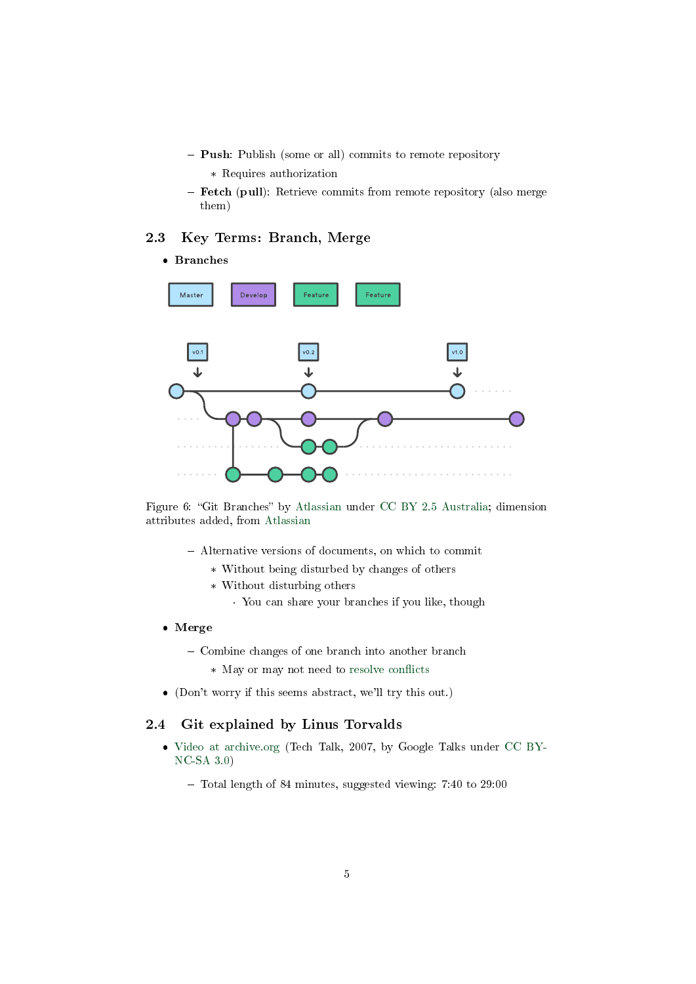- Push: Publish (some or all) commits to remote repository
	- \* Requires authorization
- Fetch (pull): Retrieve commits from remote repository (also merge them)

## 2.3 Key Terms: Branch, Merge

#### Branches



Figure 6: "Git Branches" by [Atlassian](https://www.atlassian.com/git/tutorials/comparing-workflows/gitflow-workflow) under [CC BY 2.5 Australia;](https://creativecommons.org/licenses/by/2.5/au/) dimension attributes added, from [Atlassian](https://www.atlassian.com/git/tutorials/comparing-workflows/gitflow-workflow)

- Alternative versions of documents, on which to commit
	- \* Without being disturbed by changes of others
	- \* Without disturbing others
		- · You can share your branches if you like, though
- Merge
	- Combine changes of one branch into another branch
		- \* May or may not need to resolve conflicts
- (Don't worry if this seems abstract, we'll try this out.)

#### 2.4 Git explained by Linus Torvalds

- [Video at archive.org](https://archive.org/details/LinusTorvaldsOnGittechTalk) (Tech Talk, 2007, by Google Talks under [CC BY-](http://creativecommons.org/licenses/by-nc-sa/3.0/)[NC-SA 3.0\)](http://creativecommons.org/licenses/by-nc-sa/3.0/)
	- Total length of 84 minutes, suggested viewing: 7:40 to 29:00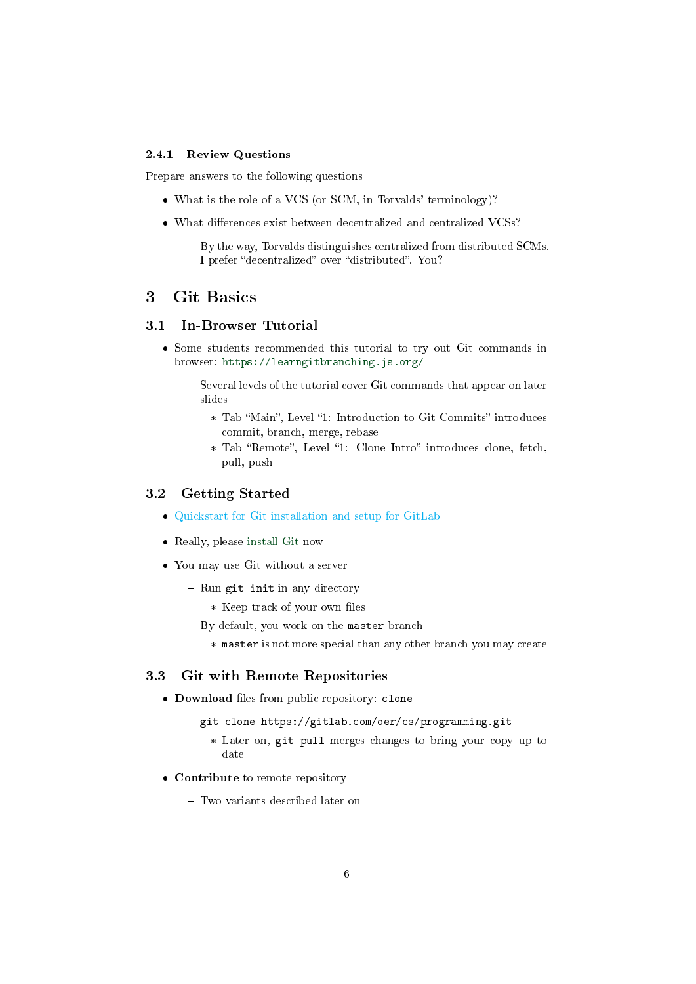#### 2.4.1 Review Questions

Prepare answers to the following questions

- What is the role of a VCS (or SCM, in Torvalds' terminology)?
- $\bullet$  What differences exist between decentralized and centralized VCSs?
	- By the way, Torvalds distinguishes centralized from distributed SCMs. I prefer "decentralized" over "distributed". You?

## 3 Git Basics

## 3.1 In-Browser Tutorial

- Some students recommended this tutorial to try out Git commands in browser: <https://learngitbranching.js.org/>
	- $-$  Several levels of the tutorial cover Git commands that appear on later slides
		- \* Tab "Main", Level "1: Introduction to Git Commits" introduces commit, branch, merge, rebase
		- \* Tab "Remote", Level "1: Clone Intro" introduces clone, fetch, pull, push

### 3.2 Getting Started

- [Quickstart for Git installation and setup for GitLab](#page-0-0)
- Really, please [install Git](https://git-scm.com/book/en/v2/Getting-Started-Installing-Git) now
- You may use Git without a server
	- $-$  Run git init in any directory
		- \* Keep track of your own files
	- $-$  By default, you work on the master branch
		- \* master is not more special than any other branch you may create

#### 3.3 Git with Remote Repositories

- Download files from public repository: clone
	- git clone https://gitlab.com/oer/cs/programming.git
		- \* Later on, git pull merges changes to bring your copy up to date
- Contribute to remote repository
	- Two variants described later on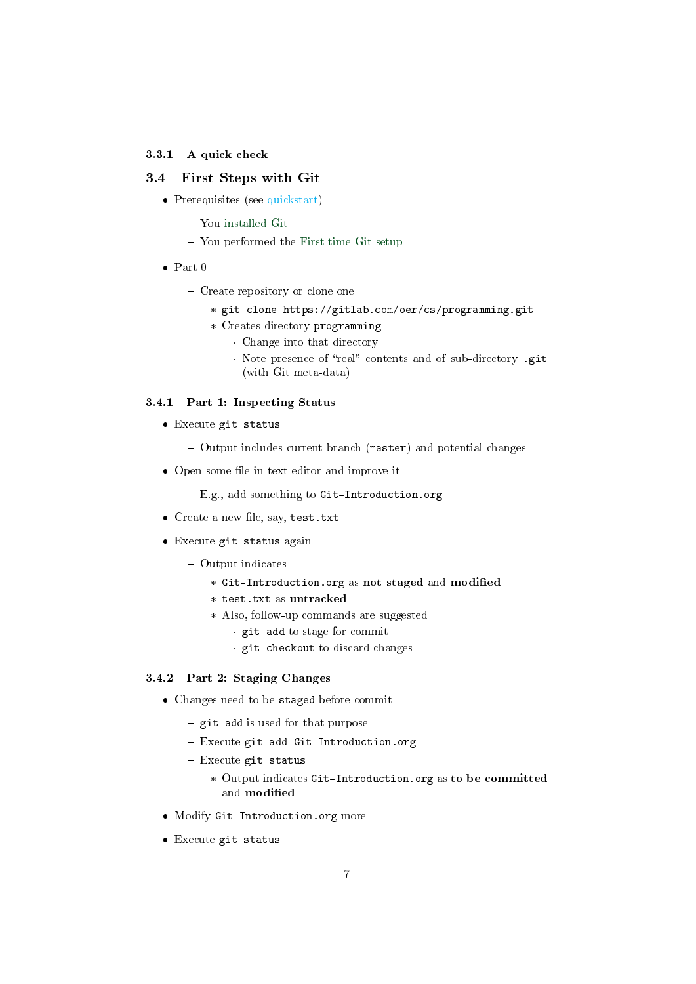#### 3.3.1 A quick check

#### 3.4 First Steps with Git

- Prerequisites (see [quickstart\)](#page-0-0)
	- You [installed Git](https://git-scm.com/book/en/v2/Getting-Started-Installing-Git)
	- You performed the [First-time Git setup](https://git-scm.com/book/en/v2/Getting-Started-First-Time-Git-Setup)
- $\bullet$  Part 0
	- Create repository or clone one
		- \* git clone https://gitlab.com/oer/cs/programming.git
		- \* Creates directory programming
			- · Change into that directory
				- · Note presence of "real" contents and of sub-directory .git (with Git meta-data)

#### 3.4.1 Part 1: Inspecting Status

- Execute git status
	- Output includes current branch (master) and potential changes
- Open some file in text editor and improve it
	- E.g., add something to Git-Introduction.org
- $\bullet$  Create a new file, say, test.txt
- Execute git status again
	- Output indicates
		- \* Git-Introduction.org as not staged and modified
		- \* test.txt as untracked
		- \* Also, follow-up commands are suggested
			- · git add to stage for commit
			- · git checkout to discard changes

#### 3.4.2 Part 2: Staging Changes

- Changes need to be staged before commit
	- $-$  git add is used for that purpose
	- Execute git add Git-Introduction.org
	- $-$  Execute git status
		- \* Output indicates Git-Introduction.org as to be committed and modified
- Modify Git-Introduction.org more
- Execute git status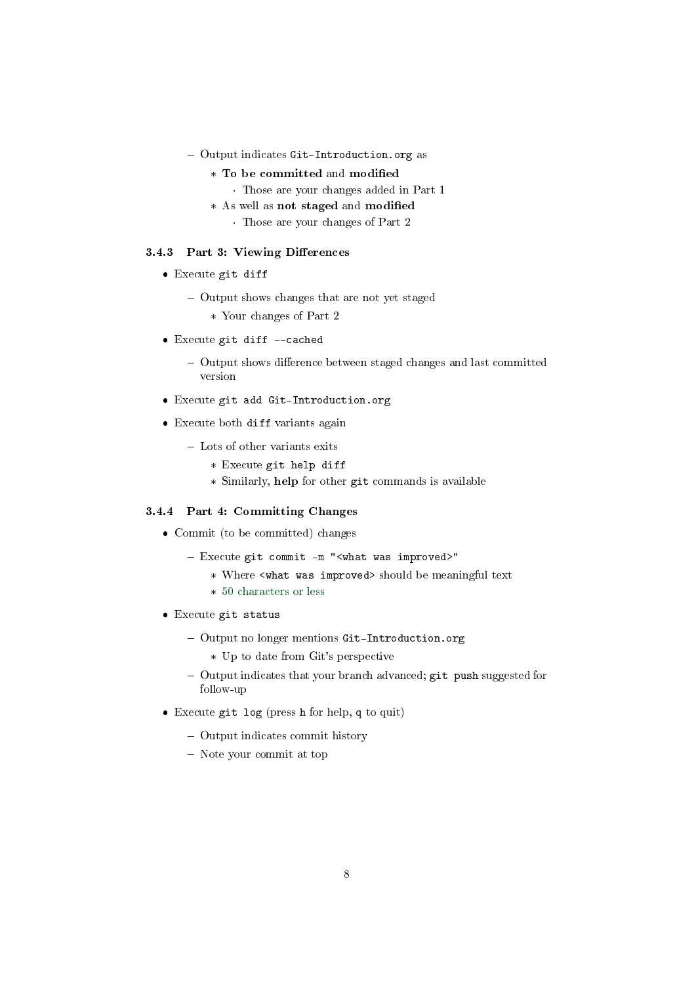- Output indicates Git-Introduction.org as
	- \* To be committed and modified
		- · Those are your changes added in Part 1
	- \* As well as not staged and modified
		- · Those are your changes of Part 2

#### 3.4.3 Part 3: Viewing Differences

- Execute git diff
	- Output shows changes that are not yet staged
		- \* Your changes of Part 2
- Execute git diff --cached
	- Output shows difference between staged changes and last committed version
- Execute git add Git-Introduction.org
- Execute both diff variants again
	- Lots of other variants exits
		- \* Execute git help diff
		- \* Similarly, help for other git commands is available

#### 3.4.4 Part 4: Committing Changes

- Commit (to be committed) changes
	- Execute git commit -m "<what was improved>"
		- \* Where <what was improved> should be meaningful text
		- \* [50 characters or less](https://chris.beams.io/posts/git-commit/)
- Execute git status
	- Output no longer mentions Git-Introduction.org
		- \* Up to date from Git's perspective
	- Output indicates that your branch advanced; git push suggested for follow-up
- Execute git log (press h for help, q to quit)
	- Output indicates commit history
	- Note your commit at top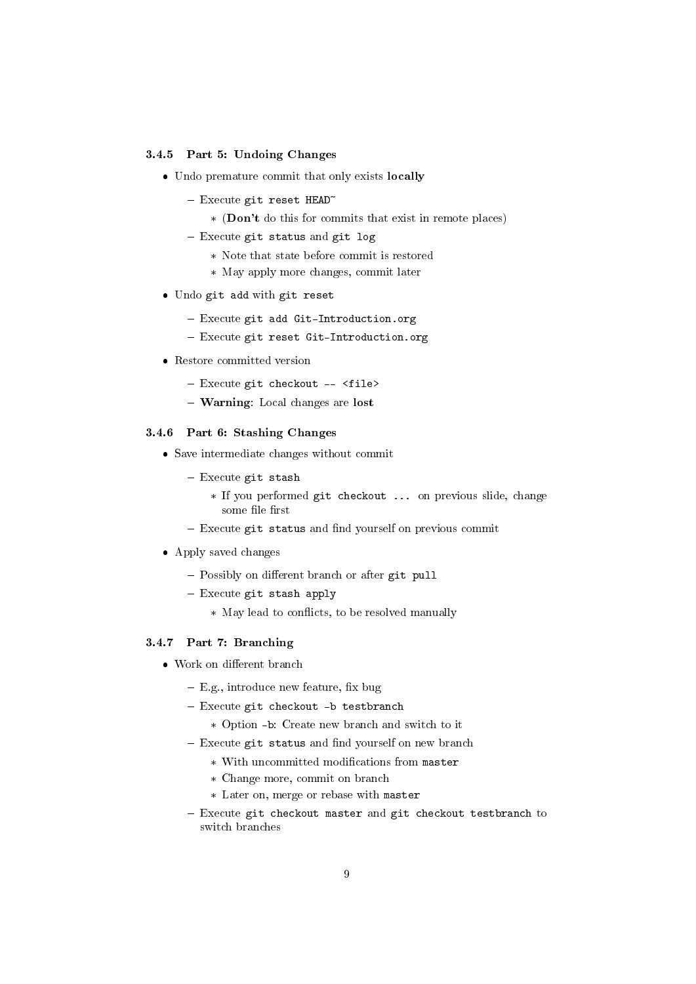#### 3.4.5 Part 5: Undoing Changes

- Undo premature commit that only exists locally
	- $-$  Execute git reset HEAD<sup> $\sim$ </sup>
		- \* (Don't do this for commits that exist in remote places)
	- $-$  Execute git status and git log
		- \* Note that state before commit is restored
		- \* May apply more changes, commit later
- Undo git add with git reset
	- Execute git add Git-Introduction.org
	- Execute git reset Git-Introduction.org
- Restore committed version
	- Execute git checkout -- <file>
	- Warning: Local changes are lost

#### 3.4.6 Part 6: Stashing Changes

- Save intermediate changes without commit
	- $-$  Execute git stash
		- \* If you performed git checkout ... on previous slide, change some file first
	- Execute git status and find yourself on previous commit
- Apply saved changes
	- Possibly on different branch or after git pull
	- Execute git stash apply
		- \* May lead to conflicts, to be resolved manually

#### 3.4.7 Part 7: Branching

- Work on different branch
	- $-$  E.g., introduce new feature, fix bug
	- Execute git checkout -b testbranch
		- \* Option -b: Create new branch and switch to it
	- Execute git status and find yourself on new branch
		- \* With uncommitted modifications from master
		- \* Change more, commit on branch
		- \* Later on, merge or rebase with master
	- $-$  Execute git checkout master and git checkout testbranch to switch branches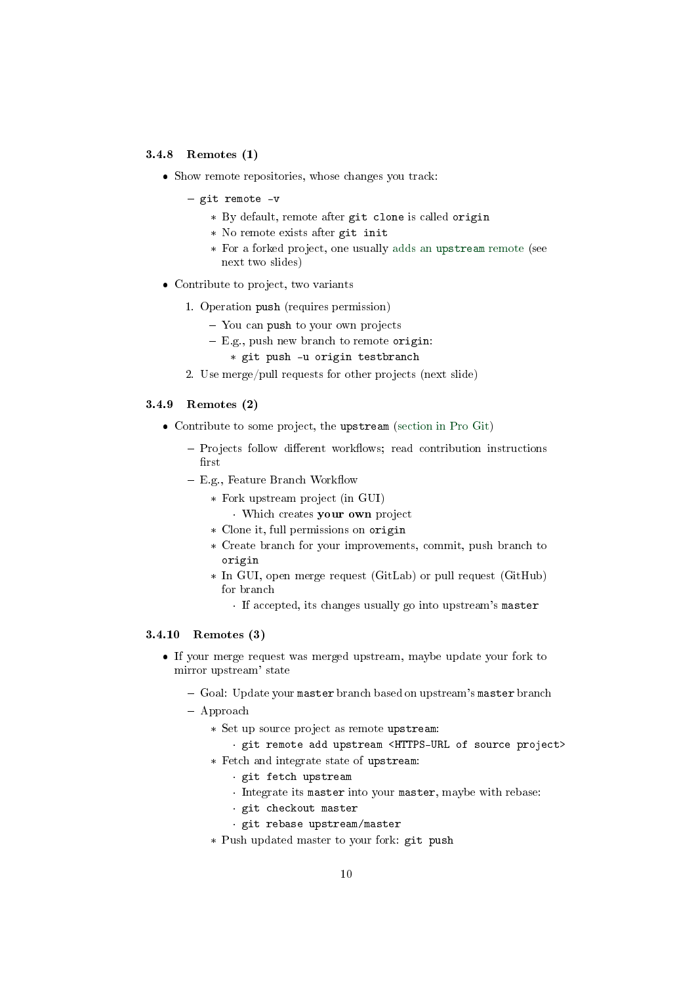#### 3.4.8 Remotes (1)

- Show remote repositories, whose changes you track:
	- git remote -v
		- \* By default, remote after git clone is called origin
		- \* No remote exists after git init
		- \* For a forked project, one usually adds an [upstream](https://www.atlassian.com/git/articles/git-forks-and-upstreams) remote (see next two slides)
- Contribute to project, two variants
	- 1. Operation push (requires permission)
		- You can push to your own projects
		- $E.g., push new branch to remote origin:$ 
			- \* git push -u origin testbranch
	- 2. Use merge/pull requests for other projects (next slide)

### 3.4.9 Remotes (2)

- Contribute to some project, the upstream [\(section in Pro Git\)](https://git-scm.com/book/en/v2/GitHub-Contributing-to-a-Project)
	- Projects follow different workflows; read contribution instructions  $first$
	- $-$  E.g., Feature Branch Workflow
		- \* Fork upstream project (in GUI)
			- · Which creates your own project
		- \* Clone it, full permissions on origin
		- \* Create branch for your improvements, commit, push branch to origin
		- \* In GUI, open merge request (GitLab) or pull request (GitHub) for branch
			- · If accepted, its changes usually go into upstream's master

#### 3.4.10 Remotes (3)

- If your merge request was merged upstream, maybe update your fork to mirror upstream' state
	- Goal: Update your master branch based on upstream's master branch
	- Approach
		- \* Set up source project as remote upstream:
			- · git remote add upstream <HTTPS-URL of source project>
		- \* Fetch and integrate state of upstream:
			- · git fetch upstream
			- · Integrate its master into your master, maybe with rebase:
			- · git checkout master
			- · git rebase upstream/master
		- \* Push updated master to your fork: git push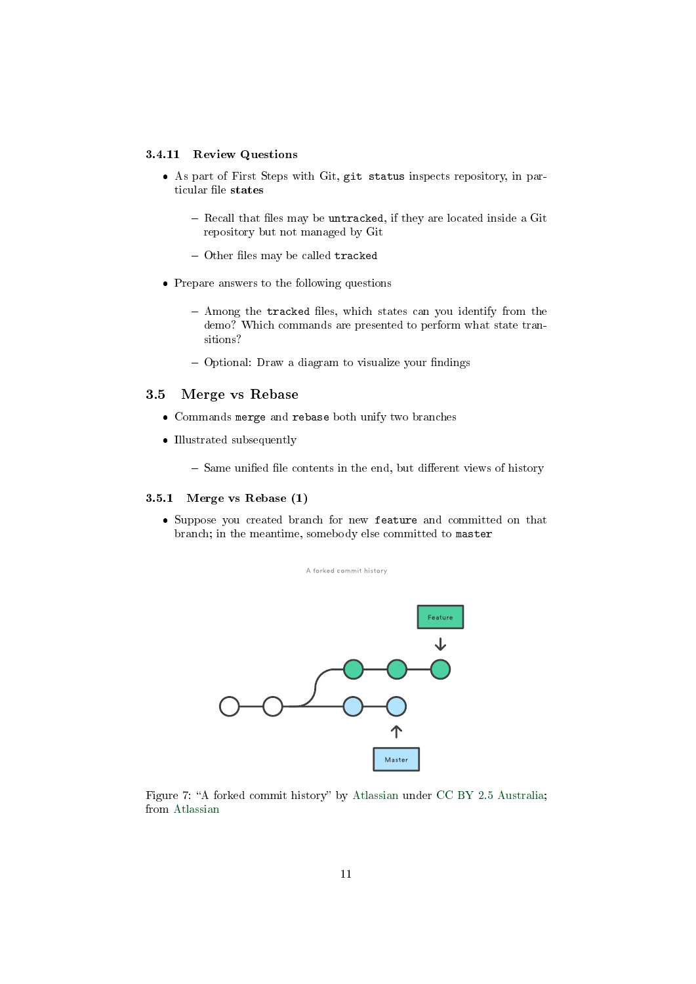#### 3.4.11 Review Questions

- As part of First Steps with Git, git status inspects repository, in particular file states
	- $R$  Recall that files may be untracked, if they are located inside a Git repository but not managed by Git
	- $-$  Other files may be called tracked
- Prepare answers to the following questions
	- $-$  Among the tracked files, which states can you identify from the demo? Which commands are presented to perform what state transitions?
	- $-$  Optional: Draw a diagram to visualize your findings

#### 3.5 Merge vs Rebase

- Commands merge and rebase both unify two branches
- $\bullet$  Illustrated subsequently
	- $-$  Same unified file contents in the end, but different views of history

#### 3.5.1 Merge vs Rebase (1)

 Suppose you created branch for new feature and committed on that branch; in the meantime, somebody else committed to master



Figure 7: "A forked commit history" by [Atlassian](https://www.atlassian.com/git/tutorials/merging-vs-rebasing) under [CC BY 2.5 Australia;](https://creativecommons.org/licenses/by/2.5/au/) from [Atlassian](https://www.atlassian.com/git/tutorials/merging-vs-rebasing)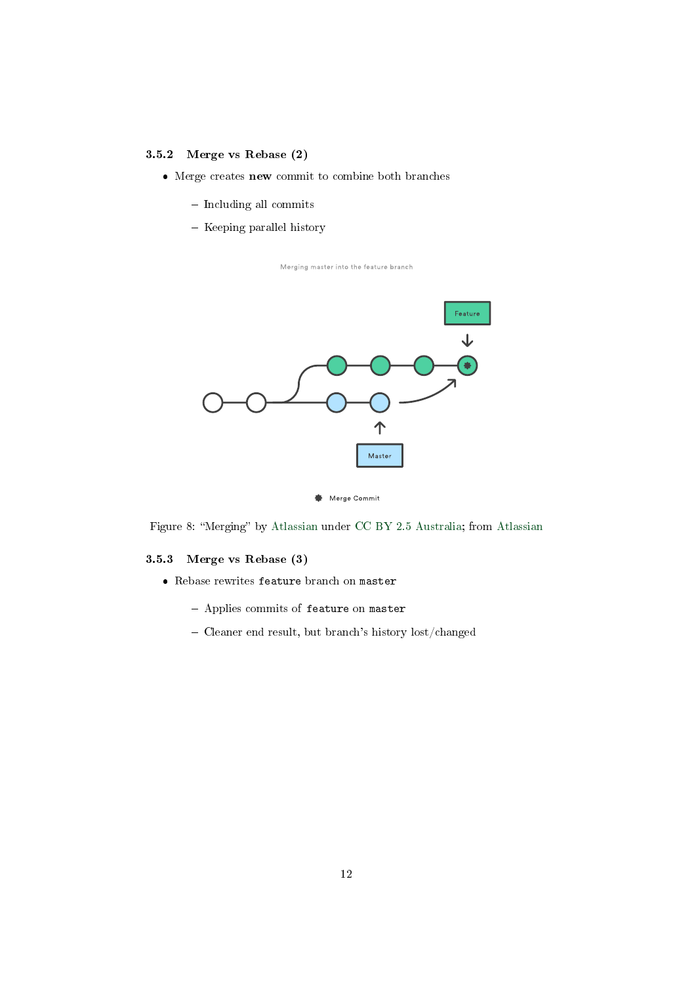### 3.5.2 Merge vs Rebase (2)

- Merge creates new commit to combine both branches
	- Including all commits
	- Keeping parallel history

Merging master into the feature branch





Figure 8: "Merging" by [Atlassian](https://www.atlassian.com/git/tutorials/merging-vs-rebasing) under [CC BY 2.5 Australia;](https://creativecommons.org/licenses/by/2.5/au/) from Atlassian

## 3.5.3 Merge vs Rebase (3)

- Rebase rewrites feature branch on master
	- Applies commits of feature on master
	- Cleaner end result, but branch's history lost/changed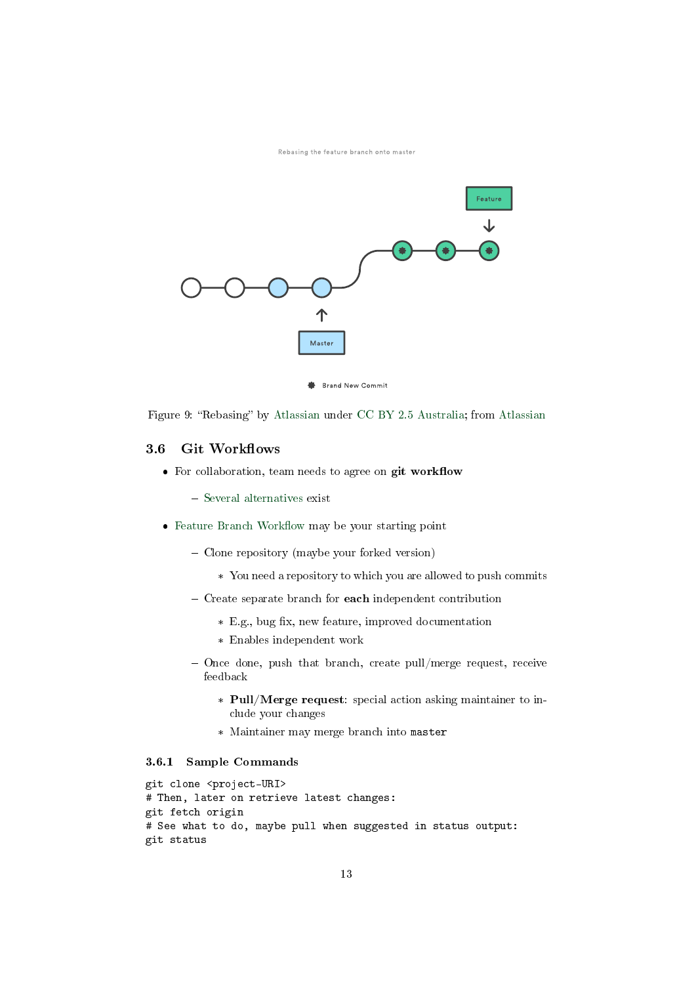Rebasing the feature branch onto master



Figure 9: "Rebasing" by [Atlassian](https://www.atlassian.com/git/tutorials/merging-vs-rebasing) under [CC BY 2.5 Australia;](https://creativecommons.org/licenses/by/2.5/au/) from Atlassian

#### 3.6 Git Workflows

- $\bullet$  For collaboration, team needs to agree on git workflow
	- [Several alternatives](https://www.atlassian.com/git/tutorials/comparing-workflows) exist
- $\bullet$  Feature Branch Workflow may be your starting point
	- Clone repository (maybe your forked version)
		- \* You need a repository to which you are allowed to push commits
	- Create separate branch for each independent contribution
		- \* E.g., bug fix, new feature, improved documentation
		- \* Enables independent work
	- $-$  Once done, push that branch, create pull/merge request, receive feedback
		- \* Pull/Merge request: special action asking maintainer to include your changes
		- \* Maintainer may merge branch into master

## 3.6.1 Sample Commands

```
git clone <project-URI>
# Then, later on retrieve latest changes:
git fetch origin
# See what to do, maybe pull when suggested in status output:
git status
```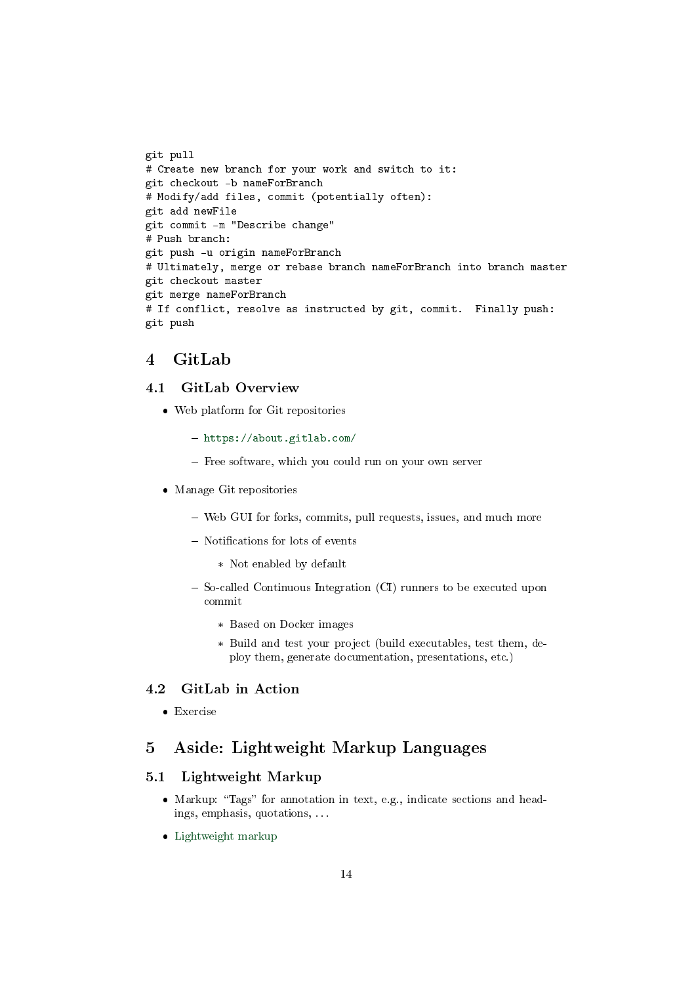git pull # Create new branch for your work and switch to it: git checkout -b nameForBranch # Modify/add files, commit (potentially often): git add newFile git commit -m "Describe change" # Push branch: git push -u origin nameForBranch # Ultimately, merge or rebase branch nameForBranch into branch master git checkout master git merge nameForBranch # If conflict, resolve as instructed by git, commit. Finally push: git push

## 4 GitLab

### 4.1 GitLab Overview

- Web platform for Git repositories
	- <https://about.gitlab.com/>
	- Free software, which you could run on your own server
- Manage Git repositories
	- Web GUI for forks, commits, pull requests, issues, and much more
	- Notifications for lots of events
		- \* Not enabled by default
	- So-called Continuous Integration (CI) runners to be executed upon commit
		- \* Based on Docker images
		- \* Build and test your project (build executables, test them, deploy them, generate documentation, presentations, etc.)

## 4.2 GitLab in Action

Exercise

## 5 Aside: Lightweight Markup Languages

## 5.1 Lightweight Markup

- $\bullet$  Markup: "Tags" for annotation in text, e.g., indicate sections and headings, emphasis, quotations, . . .
- [Lightweight markup](https://en.wikipedia.org/wiki/Lightweight_markup_language)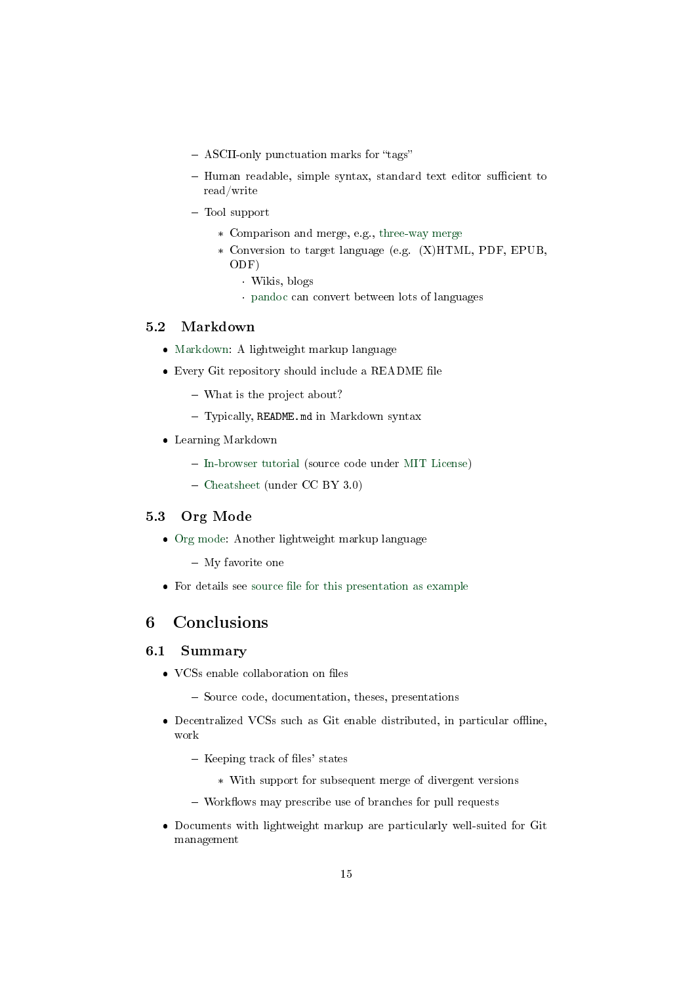- ASCII-only punctuation marks for "tags"
- $-$  Human readable, simple syntax, standard text editor sufficient to read/write
- Tool support
	- \* Comparison and merge, e.g., [three-way merge](https://en.wikipedia.org/wiki/Merge_(version_control)#Three-way_merge)
	- \* Conversion to target language (e.g. (X)HTML, PDF, EPUB, ODF)
		- · Wikis, blogs
		- · [pandoc](https://pandoc.org/) can convert between lots of languages

## 5.2 Markdown

- [Markdown:](https://en.wikipedia.org/wiki/Markdown) A lightweight markup language
- $\bullet$  Every Git repository should include a README file
	- What is the project about?
	- Typically, README.md in Markdown syntax
- Learning Markdown
	- [In-browser tutorial](https://www.markdowntutorial.com) (source code under [MIT License\)](https://github.com/gjtorikian/markdowntutorial.com/blob/master/LICENSE.txt)
	- [Cheatsheet](https://github.com/adam-p/markdown-here/wiki/Markdown-Cheatsheet) (under CC BY 3.0)

#### 5.3 Org Mode

- [Org mode:](https://orgmode.org/) Another lightweight markup language
	- My favorite one
- $\bullet$  For details see source file for this presentation as example

## 6 Conclusions

## 6.1 Summary

- VCSs enable collaboration on files
	- Source code, documentation, theses, presentations
- $\bullet$  Decentralized VCSs such as Git enable distributed, in particular offline, work
	- $-$  Keeping track of files' states
		- \* With support for subsequent merge of divergent versions
	- $-$  Workflows may prescribe use of branches for pull requests
- Documents with lightweight markup are particularly well-suited for Git management